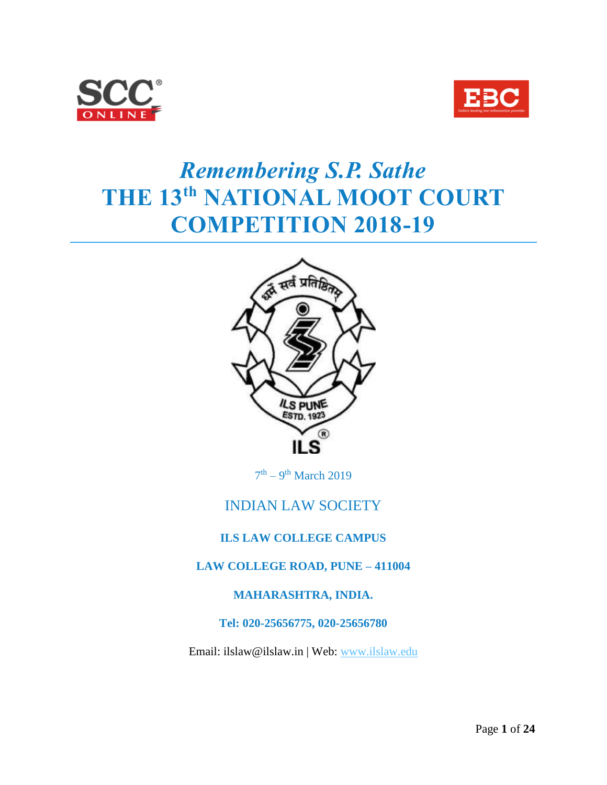



# *Remembering S.P. Sathe* **THE 13th NATIONAL MOOT COURT COMPETITION 2018-19**



 $7<sup>th</sup> - 9<sup>th</sup> March 2019$ 

# INDIAN LAW SOCIETY

### **ILS LAW COLLEGE CAMPUS**

#### **LAW COLLEGE ROAD, PUNE – 411004**

#### **MAHARASHTRA, INDIA.**

#### **Tel: 020-25656775, 020-25656780**

Email: ilslaw@ilslaw.in | Web: [www.ilslaw.edu](http://www.ilslaw.edu/)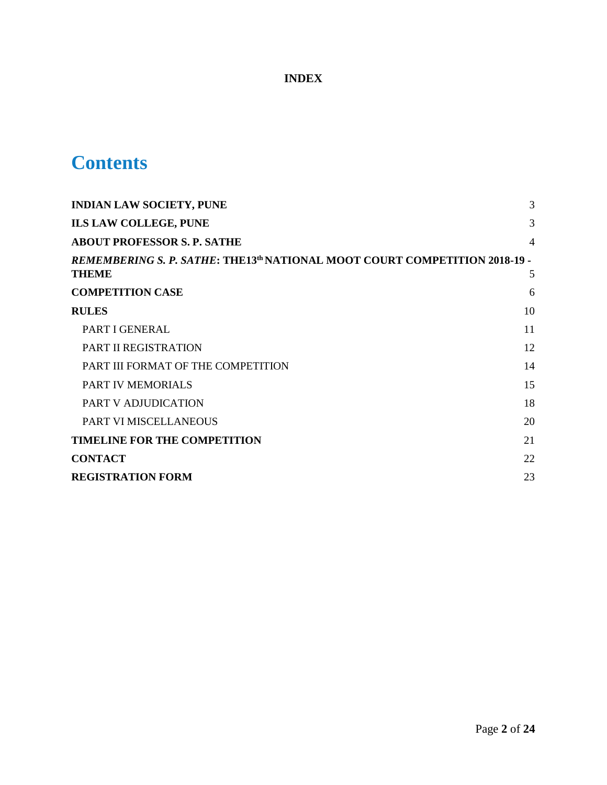# **INDEX**

# **Contents**

| <b>INDIAN LAW SOCIETY, PUNE</b>                                                                        | 3              |
|--------------------------------------------------------------------------------------------------------|----------------|
| ILS LAW COLLEGE, PUNE                                                                                  | 3              |
| <b>ABOUT PROFESSOR S. P. SATHE</b>                                                                     | $\overline{4}$ |
| REMEMBERING S. P. SATHE: THE13 <sup>th</sup> NATIONAL MOOT COURT COMPETITION 2018-19 -<br><b>THEME</b> | 5              |
| <b>COMPETITION CASE</b>                                                                                | 6              |
| <b>RULES</b>                                                                                           | 10             |
| PART I GENERAL                                                                                         | 11             |
| PART II REGISTRATION                                                                                   | 12             |
| PART III FORMAT OF THE COMPETITION                                                                     | 14             |
| <b>PART IV MEMORIALS</b>                                                                               | 15             |
| PART V ADJUDICATION                                                                                    | 18             |
| PART VI MISCELLANEOUS                                                                                  | 20             |
| <b>TIMELINE FOR THE COMPETITION</b>                                                                    | 21             |
| <b>CONTACT</b>                                                                                         | 22             |
| <b>REGISTRATION FORM</b>                                                                               | 23             |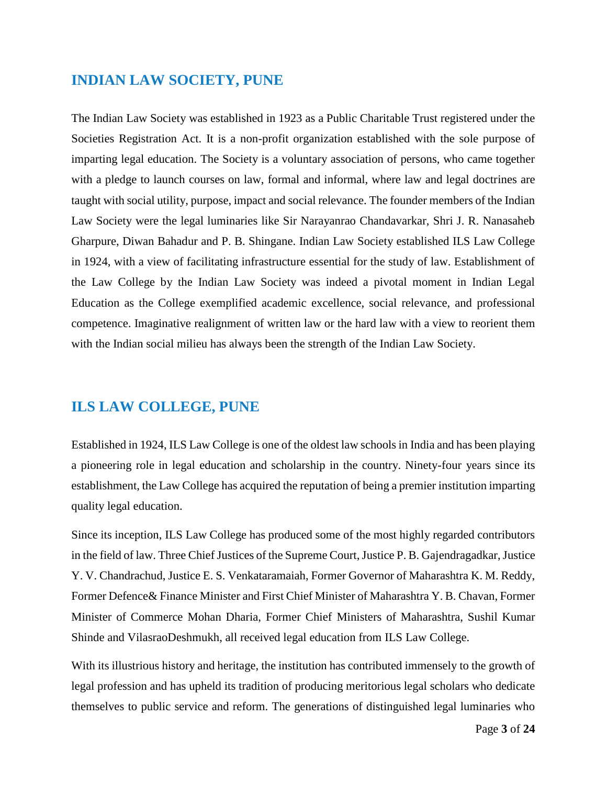# <span id="page-2-0"></span>**INDIAN LAW SOCIETY, PUNE**

The Indian Law Society was established in 1923 as a Public Charitable Trust registered under the Societies Registration Act. It is a non-profit organization established with the sole purpose of imparting legal education. The Society is a voluntary association of persons, who came together with a pledge to launch courses on law, formal and informal, where law and legal doctrines are taught with social utility, purpose, impact and social relevance. The founder members of the Indian Law Society were the legal luminaries like Sir Narayanrao Chandavarkar, Shri J. R. Nanasaheb Gharpure, Diwan Bahadur and P. B. Shingane. Indian Law Society established ILS Law College in 1924, with a view of facilitating infrastructure essential for the study of law. Establishment of the Law College by the Indian Law Society was indeed a pivotal moment in Indian Legal Education as the College exemplified academic excellence, social relevance, and professional competence. Imaginative realignment of written law or the hard law with a view to reorient them with the Indian social milieu has always been the strength of the Indian Law Society.

# <span id="page-2-1"></span>**ILS LAW COLLEGE, PUNE**

Established in 1924, ILS Law College is one of the oldest law schools in India and has been playing a pioneering role in legal education and scholarship in the country. Ninety-four years since its establishment, the Law College has acquired the reputation of being a premier institution imparting quality legal education.

Since its inception, ILS Law College has produced some of the most highly regarded contributors in the field of law. Three Chief Justices of the Supreme Court, Justice P. B. Gajendragadkar, Justice Y. V. Chandrachud, Justice E. S. Venkataramaiah, Former Governor of Maharashtra K. M. Reddy, Former Defence& Finance Minister and First Chief Minister of Maharashtra Y. B. Chavan, Former Minister of Commerce Mohan Dharia, Former Chief Ministers of Maharashtra, Sushil Kumar Shinde and VilasraoDeshmukh, all received legal education from ILS Law College.

With its illustrious history and heritage, the institution has contributed immensely to the growth of legal profession and has upheld its tradition of producing meritorious legal scholars who dedicate themselves to public service and reform. The generations of distinguished legal luminaries who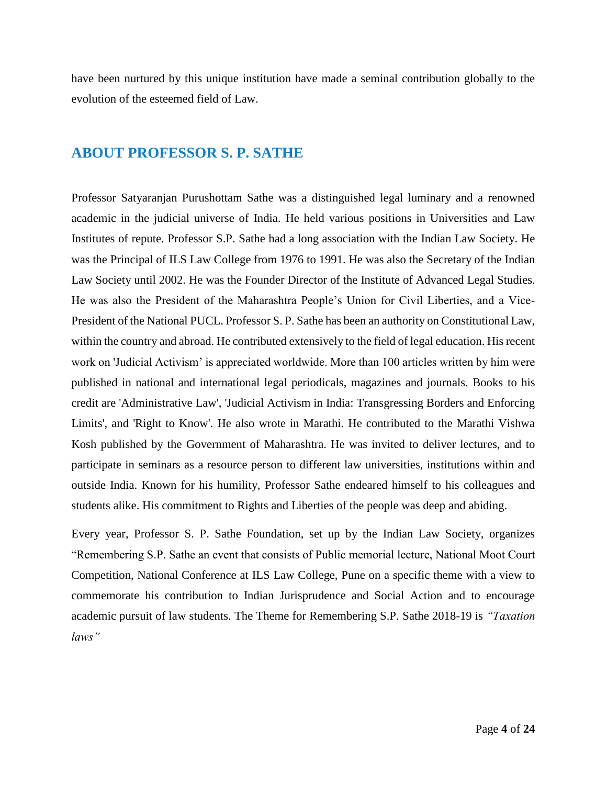have been nurtured by this unique institution have made a seminal contribution globally to the evolution of the esteemed field of Law.

### <span id="page-3-0"></span>**ABOUT PROFESSOR S. P. SATHE**

Professor Satyaranjan Purushottam Sathe was a distinguished legal luminary and a renowned academic in the judicial universe of India. He held various positions in Universities and Law Institutes of repute. Professor S.P. Sathe had a long association with the Indian Law Society. He was the Principal of ILS Law College from 1976 to 1991. He was also the Secretary of the Indian Law Society until 2002. He was the Founder Director of the Institute of Advanced Legal Studies. He was also the President of the Maharashtra People's Union for Civil Liberties, and a Vice-President of the National PUCL. Professor S. P. Sathe has been an authority on Constitutional Law, within the country and abroad. He contributed extensively to the field of legal education. His recent work on 'Judicial Activism' is appreciated worldwide. More than 100 articles written by him were published in national and international legal periodicals, magazines and journals. Books to his credit are 'Administrative Law', 'Judicial Activism in India: Transgressing Borders and Enforcing Limits', and 'Right to Know'. He also wrote in Marathi. He contributed to the Marathi Vishwa Kosh published by the Government of Maharashtra. He was invited to deliver lectures, and to participate in seminars as a resource person to different law universities, institutions within and outside India. Known for his humility, Professor Sathe endeared himself to his colleagues and students alike. His commitment to Rights and Liberties of the people was deep and abiding.

Every year, Professor S. P. Sathe Foundation, set up by the Indian Law Society, organizes "Remembering S.P. Sathe an event that consists of Public memorial lecture, National Moot Court Competition, National Conference at ILS Law College, Pune on a specific theme with a view to commemorate his contribution to Indian Jurisprudence and Social Action and to encourage academic pursuit of law students. The Theme for Remembering S.P. Sathe 2018-19 is *"Taxation laws"*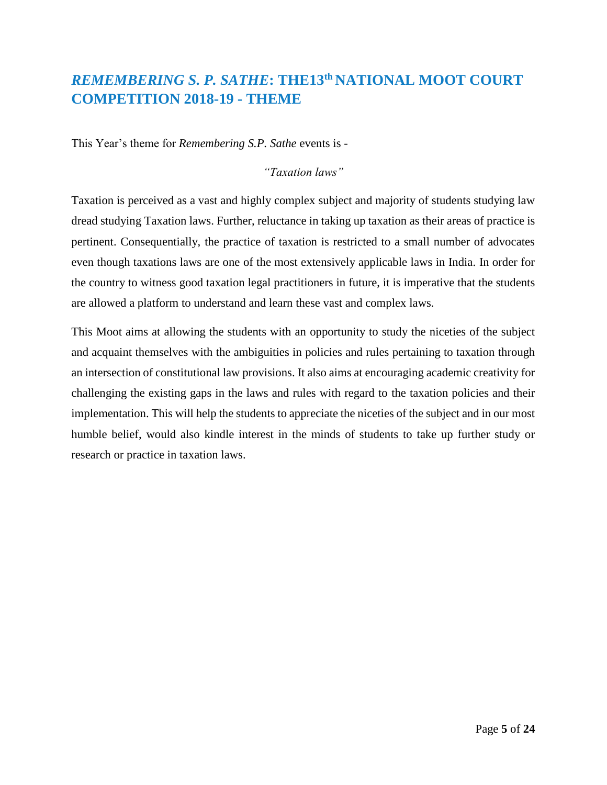# <span id="page-4-0"></span>*REMEMBERING S. P. SATHE***: THE13th NATIONAL MOOT COURT COMPETITION 2018-19 - THEME**

This Year's theme for *Remembering S.P. Sathe* events is -

#### *"Taxation laws"*

Taxation is perceived as a vast and highly complex subject and majority of students studying law dread studying Taxation laws. Further, reluctance in taking up taxation as their areas of practice is pertinent. Consequentially, the practice of taxation is restricted to a small number of advocates even though taxations laws are one of the most extensively applicable laws in India. In order for the country to witness good taxation legal practitioners in future, it is imperative that the students are allowed a platform to understand and learn these vast and complex laws.

This Moot aims at allowing the students with an opportunity to study the niceties of the subject and acquaint themselves with the ambiguities in policies and rules pertaining to taxation through an intersection of constitutional law provisions. It also aims at encouraging academic creativity for challenging the existing gaps in the laws and rules with regard to the taxation policies and their implementation. This will help the students to appreciate the niceties of the subject and in our most humble belief, would also kindle interest in the minds of students to take up further study or research or practice in taxation laws.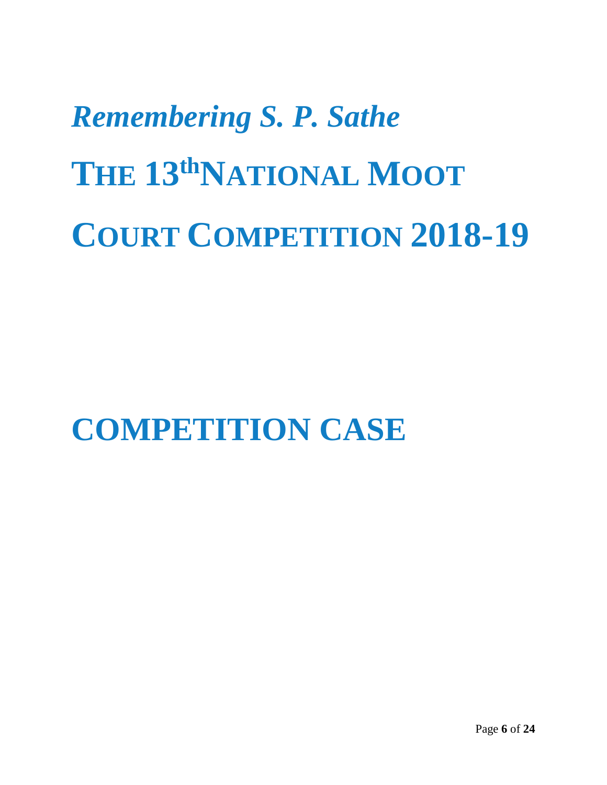# *Remembering S. P. Sathe*  **THE 13thNATIONAL MOOT COURT COMPETITION 2018-19**

<span id="page-5-0"></span>**COMPETITION CASE**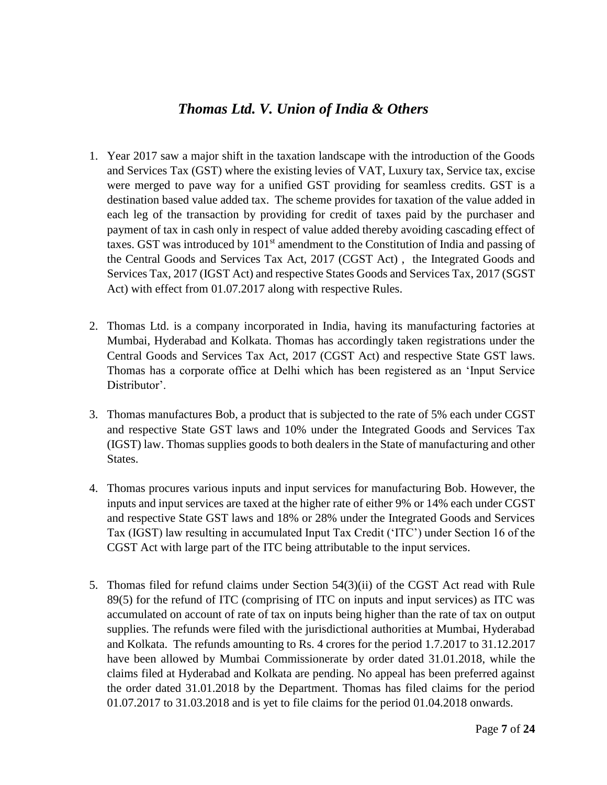# *Thomas Ltd. V. Union of India & Others*

- 1. Year 2017 saw a major shift in the taxation landscape with the introduction of the Goods and Services Tax (GST) where the existing levies of VAT, Luxury tax, Service tax, excise were merged to pave way for a unified GST providing for seamless credits. GST is a destination based value added tax. The scheme provides for taxation of the value added in each leg of the transaction by providing for credit of taxes paid by the purchaser and payment of tax in cash only in respect of value added thereby avoiding cascading effect of taxes. GST was introduced by  $101<sup>st</sup>$  amendment to the Constitution of India and passing of the Central Goods and Services Tax Act, 2017 (CGST Act) , the Integrated Goods and Services Tax, 2017 (IGST Act) and respective States Goods and Services Tax, 2017 (SGST Act) with effect from 01.07.2017 along with respective Rules.
- 2. Thomas Ltd. is a company incorporated in India, having its manufacturing factories at Mumbai, Hyderabad and Kolkata. Thomas has accordingly taken registrations under the Central Goods and Services Tax Act, 2017 (CGST Act) and respective State GST laws. Thomas has a corporate office at Delhi which has been registered as an 'Input Service Distributor'.
- 3. Thomas manufactures Bob, a product that is subjected to the rate of 5% each under CGST and respective State GST laws and 10% under the Integrated Goods and Services Tax (IGST) law. Thomas supplies goods to both dealers in the State of manufacturing and other States.
- 4. Thomas procures various inputs and input services for manufacturing Bob. However, the inputs and input services are taxed at the higher rate of either 9% or 14% each under CGST and respective State GST laws and 18% or 28% under the Integrated Goods and Services Tax (IGST) law resulting in accumulated Input Tax Credit ('ITC') under Section 16 of the CGST Act with large part of the ITC being attributable to the input services.
- 5. Thomas filed for refund claims under Section 54(3)(ii) of the CGST Act read with Rule 89(5) for the refund of ITC (comprising of ITC on inputs and input services) as ITC was accumulated on account of rate of tax on inputs being higher than the rate of tax on output supplies. The refunds were filed with the jurisdictional authorities at Mumbai, Hyderabad and Kolkata. The refunds amounting to Rs. 4 crores for the period 1.7.2017 to 31.12.2017 have been allowed by Mumbai Commissionerate by order dated 31.01.2018, while the claims filed at Hyderabad and Kolkata are pending. No appeal has been preferred against the order dated 31.01.2018 by the Department. Thomas has filed claims for the period 01.07.2017 to 31.03.2018 and is yet to file claims for the period 01.04.2018 onwards.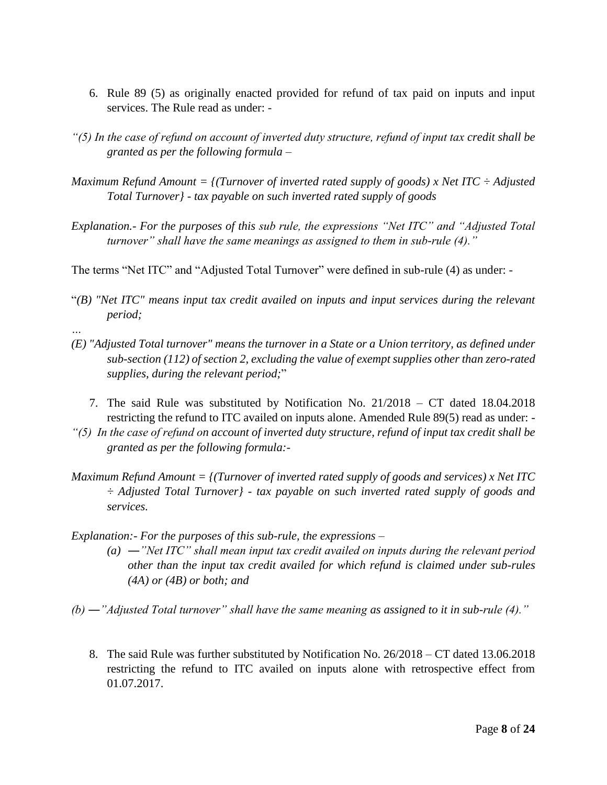- 6. Rule 89 (5) as originally enacted provided for refund of tax paid on inputs and input services. The Rule read as under: -
- *"(5) In the case of refund on account of inverted duty structure, refund of input tax credit shall be granted as per the following formula –*
- *Maximum Refund Amount = {(Turnover of inverted rated supply of goods) x Net ITC ÷ Adjusted Total Turnover} - tax payable on such inverted rated supply of goods*
- *Explanation.- For the purposes of this sub rule, the expressions "Net ITC" and "Adjusted Total turnover" shall have the same meanings as assigned to them in sub-rule (4)."*
- The terms "Net ITC" and "Adjusted Total Turnover" were defined in sub-rule (4) as under: -
- "*(B) "Net ITC" means input tax credit availed on inputs and input services during the relevant period;*
- *(E) "Adjusted Total turnover" means the turnover in a State or a Union territory, as defined under sub-section (112) of section 2, excluding the value of exempt supplies other than zero-rated supplies, during the relevant period;*"
	- 7. The said Rule was substituted by Notification No. 21/2018 CT dated 18.04.2018 restricting the refund to ITC availed on inputs alone. Amended Rule 89(5) read as under: -
- *"(5) In the case of refund on account of inverted duty structure, refund of input tax credit shall be granted as per the following formula:-*
- *Maximum Refund Amount = {(Turnover of inverted rated supply of goods and services) x Net ITC ÷ Adjusted Total Turnover} - tax payable on such inverted rated supply of goods and services.*
- *Explanation:- For the purposes of this sub-rule, the expressions –*

*…*

- *(a) ―"Net ITC" shall mean input tax credit availed on inputs during the relevant period other than the input tax credit availed for which refund is claimed under sub-rules (4A) or (4B) or both; and*
- *(b) ―"Adjusted Total turnover" shall have the same meaning as assigned to it in sub-rule (4)."*
	- 8. The said Rule was further substituted by Notification No. 26/2018 CT dated 13.06.2018 restricting the refund to ITC availed on inputs alone with retrospective effect from 01.07.2017.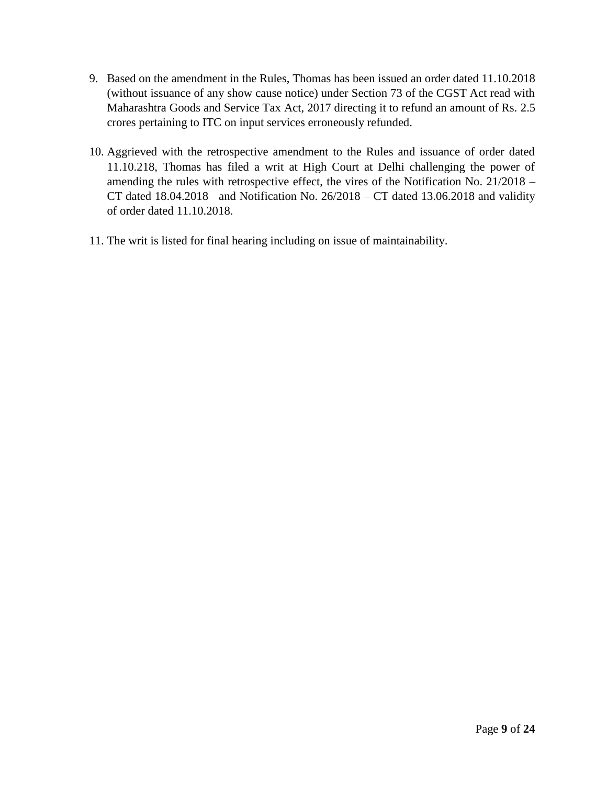- 9. Based on the amendment in the Rules, Thomas has been issued an order dated 11.10.2018 (without issuance of any show cause notice) under Section 73 of the CGST Act read with Maharashtra Goods and Service Tax Act, 2017 directing it to refund an amount of Rs. 2.5 crores pertaining to ITC on input services erroneously refunded.
- 10. Aggrieved with the retrospective amendment to the Rules and issuance of order dated 11.10.218, Thomas has filed a writ at High Court at Delhi challenging the power of amending the rules with retrospective effect, the vires of the Notification No. 21/2018 – CT dated  $18.04.2018$  and Notification No.  $26/2018$  – CT dated  $13.06.2018$  and validity of order dated 11.10.2018.
- 11. The writ is listed for final hearing including on issue of maintainability.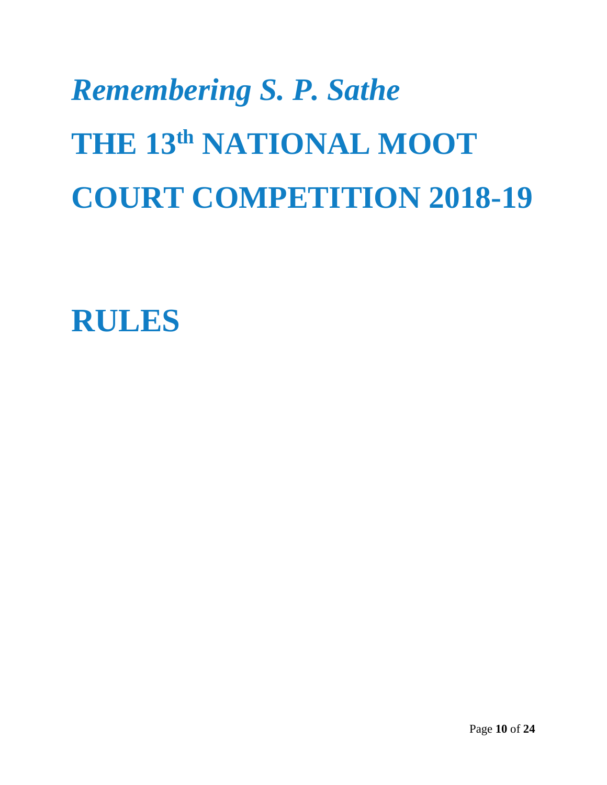# *Remembering S. P. Sathe*  **THE 13th NATIONAL MOOT COURT COMPETITION 2018-19**

<span id="page-9-0"></span>**RULES**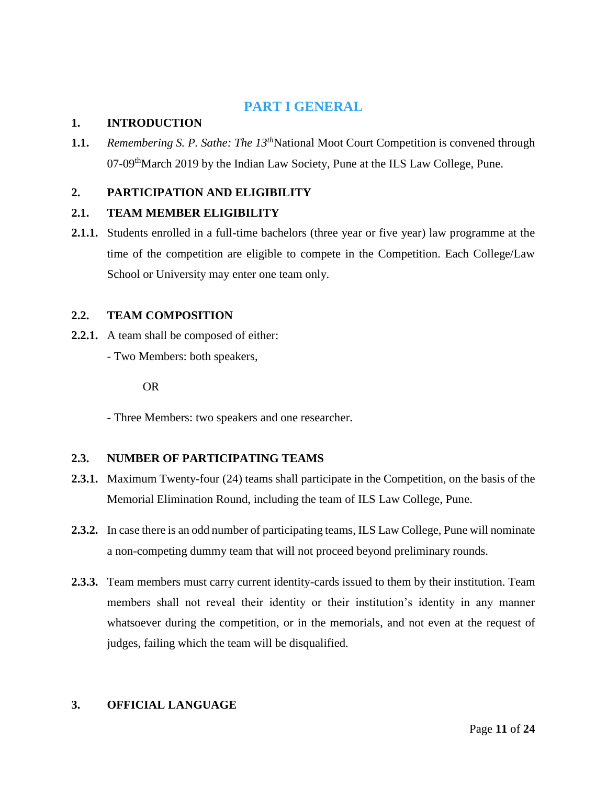# **PART I GENERAL**

#### <span id="page-10-0"></span>**1. INTRODUCTION**

**1.1.** *Remembering S. P. Sathe: The 13<sup>th</sup>National Moot Court Competition is convened through* 07-09<sup>th</sup>March 2019 by the Indian Law Society, Pune at the ILS Law College, Pune.

#### **2. PARTICIPATION AND ELIGIBILITY**

#### **2.1. TEAM MEMBER ELIGIBILITY**

**2.1.1.** Students enrolled in a full-time bachelors (three year or five year) law programme at the time of the competition are eligible to compete in the Competition. Each College/Law School or University may enter one team only.

#### **2.2. TEAM COMPOSITION**

- **2.2.1.** A team shall be composed of either:
	- Two Members: both speakers,

OR

- Three Members: two speakers and one researcher.

#### **2.3. NUMBER OF PARTICIPATING TEAMS**

- **2.3.1.** Maximum Twenty-four (24) teams shall participate in the Competition, on the basis of the Memorial Elimination Round, including the team of ILS Law College, Pune.
- **2.3.2.** In case there is an odd number of participating teams, ILS Law College, Pune will nominate a non-competing dummy team that will not proceed beyond preliminary rounds.
- **2.3.3.** Team members must carry current identity-cards issued to them by their institution. Team members shall not reveal their identity or their institution's identity in any manner whatsoever during the competition, or in the memorials, and not even at the request of judges, failing which the team will be disqualified.

#### **3. OFFICIAL LANGUAGE**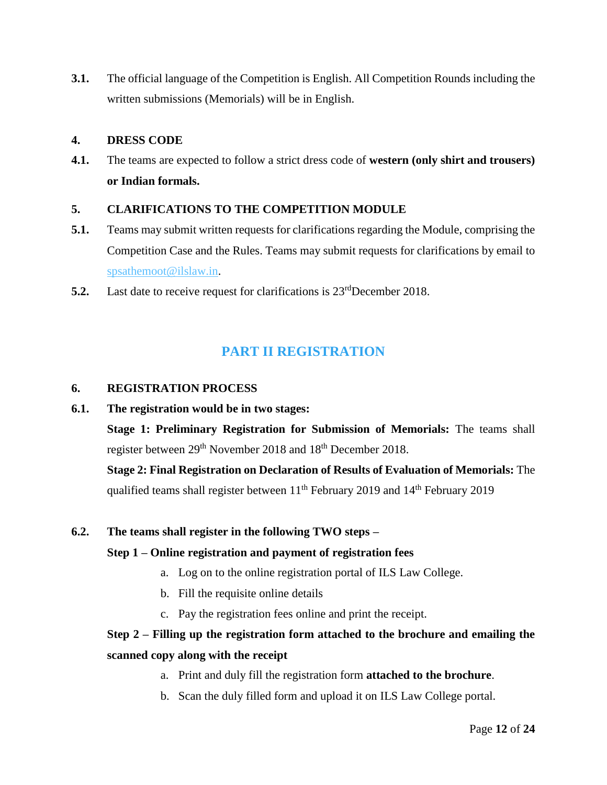**3.1.** The official language of the Competition is English. All Competition Rounds including the written submissions (Memorials) will be in English.

#### **4. DRESS CODE**

**4.1.** The teams are expected to follow a strict dress code of **western (only shirt and trousers) or Indian formals.**

#### **5. CLARIFICATIONS TO THE COMPETITION MODULE**

- **5.1.** Teams may submit written requests for clarifications regarding the Module, comprising the Competition Case and the Rules. Teams may submit requests for clarifications by email to [spsathemoot@ilslaw.in.](mailto:spsathemoot@ilslaw.in)
- **5.2.** Last date to receive request for clarifications is  $23^{\text{rd}}$ December 2018.

# **PART II REGISTRATION**

#### <span id="page-11-0"></span>**6. REGISTRATION PROCESS**

**6.1. The registration would be in two stages:** 

**Stage 1: Preliminary Registration for Submission of Memorials:** The teams shall register between 29<sup>th</sup> November 2018 and 18<sup>th</sup> December 2018.

**Stage 2: Final Registration on Declaration of Results of Evaluation of Memorials:** The qualified teams shall register between 11<sup>th</sup> February 2019 and 14<sup>th</sup> February 2019

#### **6.2. The teams shall register in the following TWO steps –**

#### **Step 1 – Online registration and payment of registration fees**

- a. Log on to the online registration portal of ILS Law College.
- b. Fill the requisite online details
- c. Pay the registration fees online and print the receipt.

# **Step 2 – Filling up the registration form attached to the brochure and emailing the scanned copy along with the receipt**

- a. Print and duly fill the registration form **attached to the brochure**.
- b. Scan the duly filled form and upload it on ILS Law College portal.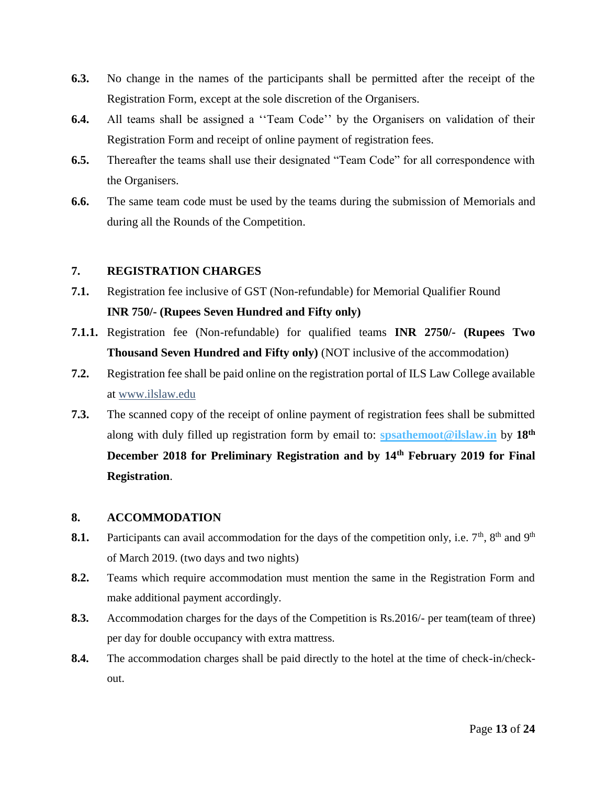- **6.3.** No change in the names of the participants shall be permitted after the receipt of the Registration Form, except at the sole discretion of the Organisers.
- **6.4.** All teams shall be assigned a ''Team Code'' by the Organisers on validation of their Registration Form and receipt of online payment of registration fees.
- **6.5.** Thereafter the teams shall use their designated "Team Code" for all correspondence with the Organisers.
- **6.6.** The same team code must be used by the teams during the submission of Memorials and during all the Rounds of the Competition.

#### **7. REGISTRATION CHARGES**

- **7.1.** Registration fee inclusive of GST (Non-refundable) for Memorial Qualifier Round **INR 750/- (Rupees Seven Hundred and Fifty only)**
- **7.1.1.** Registration fee (Non-refundable) for qualified teams **INR 2750/- (Rupees Two Thousand Seven Hundred and Fifty only)** (NOT inclusive of the accommodation)
- **7.2.** Registration fee shall be paid online on the registration portal of ILS Law College available at [www.ilslaw.edu](http://www.ilslaw.edu/)
- **7.3.** The scanned copy of the receipt of online payment of registration fees shall be submitted along with duly filled up registration form by email to: **[spsathemoot@ilslaw.in](mailto:spsathemoot@ilslaw.in)** by **18th December 2018 for Preliminary Registration and by 14th February 2019 for Final Registration**.

#### **8. ACCOMMODATION**

- **8.1.** Participants can avail accommodation for the days of the competition only, i.e.  $7<sup>th</sup>$ ,  $8<sup>th</sup>$  and  $9<sup>th</sup>$ of March 2019. (two days and two nights)
- **8.2.** Teams which require accommodation must mention the same in the Registration Form and make additional payment accordingly.
- **8.3.** Accommodation charges for the days of the Competition is Rs.2016/- per team(team of three) per day for double occupancy with extra mattress.
- **8.4.** The accommodation charges shall be paid directly to the hotel at the time of check-in/checkout.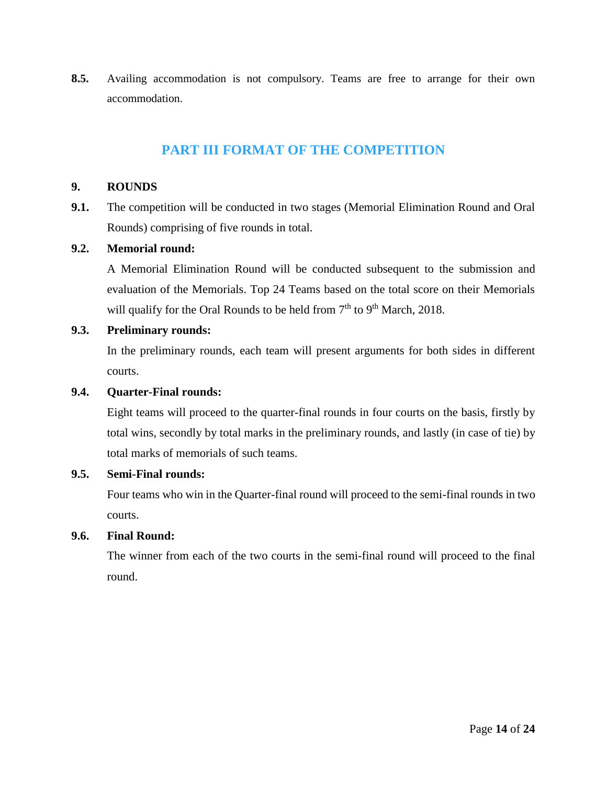**8.5.** Availing accommodation is not compulsory. Teams are free to arrange for their own accommodation.

### **PART III FORMAT OF THE COMPETITION**

#### <span id="page-13-0"></span>**9. ROUNDS**

**9.1.** The competition will be conducted in two stages (Memorial Elimination Round and Oral Rounds) comprising of five rounds in total.

#### **9.2. Memorial round:**

A Memorial Elimination Round will be conducted subsequent to the submission and evaluation of the Memorials. Top 24 Teams based on the total score on their Memorials will qualify for the Oral Rounds to be held from 7<sup>th</sup> to 9<sup>th</sup> March, 2018.

#### **9.3. Preliminary rounds:**

In the preliminary rounds, each team will present arguments for both sides in different courts.

#### **9.4. Quarter-Final rounds:**

Eight teams will proceed to the quarter-final rounds in four courts on the basis, firstly by total wins, secondly by total marks in the preliminary rounds, and lastly (in case of tie) by total marks of memorials of such teams.

#### **9.5. Semi-Final rounds:**

Four teams who win in the Quarter-final round will proceed to the semi-final rounds in two courts.

#### **9.6. Final Round:**

The winner from each of the two courts in the semi-final round will proceed to the final round.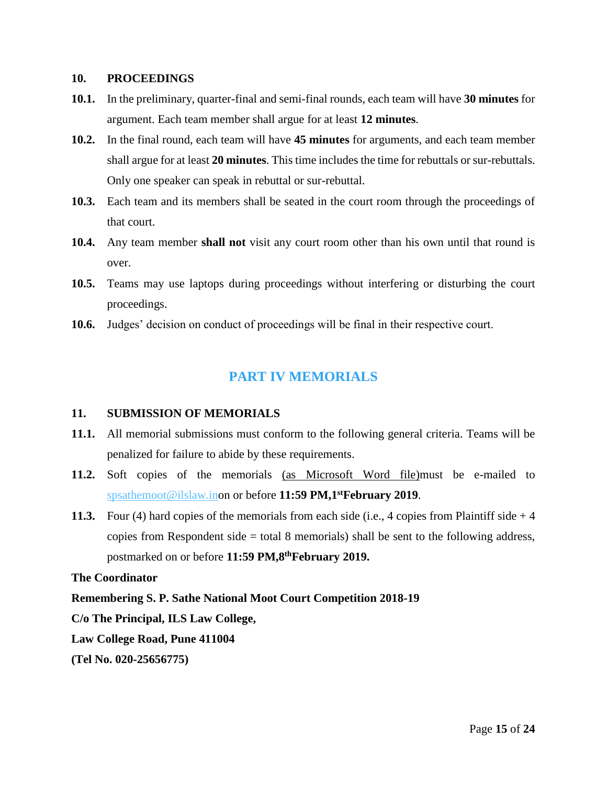#### **10. PROCEEDINGS**

- **10.1.** In the preliminary, quarter-final and semi-final rounds, each team will have **30 minutes** for argument. Each team member shall argue for at least **12 minutes**.
- **10.2.** In the final round, each team will have **45 minutes** for arguments, and each team member shall argue for at least **20 minutes**. This time includes the time for rebuttals or sur-rebuttals. Only one speaker can speak in rebuttal or sur-rebuttal.
- **10.3.** Each team and its members shall be seated in the court room through the proceedings of that court.
- **10.4.** Any team member **shall not** visit any court room other than his own until that round is over.
- **10.5.** Teams may use laptops during proceedings without interfering or disturbing the court proceedings.
- <span id="page-14-0"></span>**10.6.** Judges' decision on conduct of proceedings will be final in their respective court.

# **PART IV MEMORIALS**

#### **11. SUBMISSION OF MEMORIALS**

- **11.1.** All memorial submissions must conform to the following general criteria. Teams will be penalized for failure to abide by these requirements.
- **11.2.** Soft copies of the memorials (as Microsoft Word file)must be e-mailed to [spsathemoot@ilslaw.ino](mailto:spsathemoot@ilslaw.in)n or before **11:59 PM,1stFebruary 2019**.
- **11.3.** Four (4) hard copies of the memorials from each side (i.e., 4 copies from Plaintiff side + 4 copies from Respondent side = total 8 memorials) shall be sent to the following address, postmarked on or before **11:59 PM,8thFebruary 2019.**

#### **The Coordinator**

#### **Remembering S. P. Sathe National Moot Court Competition 2018-19**

**C/o The Principal, ILS Law College,** 

**Law College Road, Pune 411004** 

**(Tel No. 020-25656775)**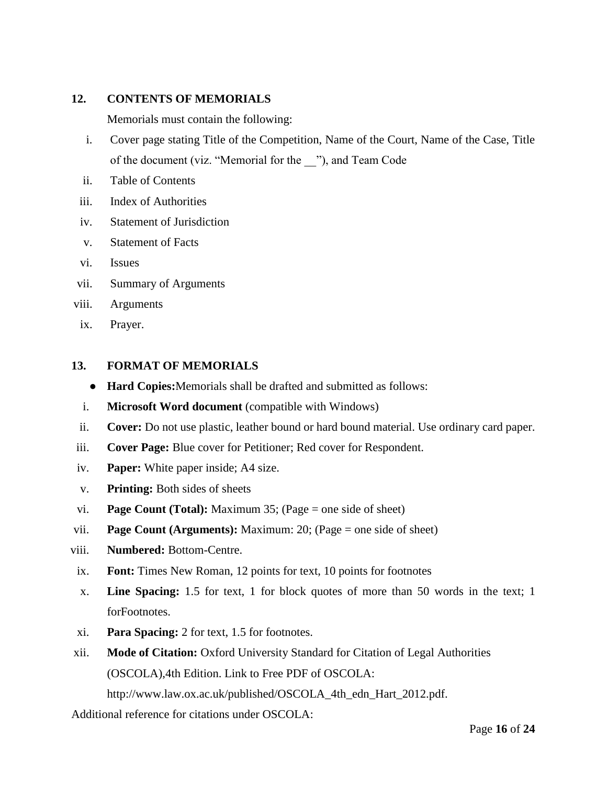#### **12. CONTENTS OF MEMORIALS**

Memorials must contain the following:

- i. Cover page stating Title of the Competition, Name of the Court, Name of the Case, Title of the document (viz. "Memorial for the \_\_"), and Team Code
- ii. Table of Contents
- iii. Index of Authorities
- iv. Statement of Jurisdiction
- v. Statement of Facts
- vi. Issues
- vii. Summary of Arguments
- viii. Arguments
- ix. Prayer.

#### **13. FORMAT OF MEMORIALS**

- **Hard Copies:**Memorials shall be drafted and submitted as follows:
- i. **Microsoft Word document** (compatible with Windows)
- ii. **Cover:** Do not use plastic, leather bound or hard bound material. Use ordinary card paper.
- iii. **Cover Page:** Blue cover for Petitioner; Red cover for Respondent.
- iv. **Paper:** White paper inside; A4 size.
- v. **Printing:** Both sides of sheets
- vi. **Page Count (Total):** Maximum 35; (Page = one side of sheet)
- vii. **Page Count (Arguments):** Maximum: 20; (Page = one side of sheet)
- viii. **Numbered:** Bottom-Centre.
- ix. **Font:** Times New Roman, 12 points for text, 10 points for footnotes
- x. **Line Spacing:** 1.5 for text, 1 for block quotes of more than 50 words in the text; 1 forFootnotes.
- xi. **Para Spacing:** 2 for text, 1.5 for footnotes.
- xii. **Mode of Citation:** Oxford University Standard for Citation of Legal Authorities (OSCOLA),4th Edition. Link to Free PDF of OSCOLA:

http://www.law.ox.ac.uk/published/OSCOLA\_4th\_edn\_Hart\_2012.pdf.

Additional reference for citations under OSCOLA: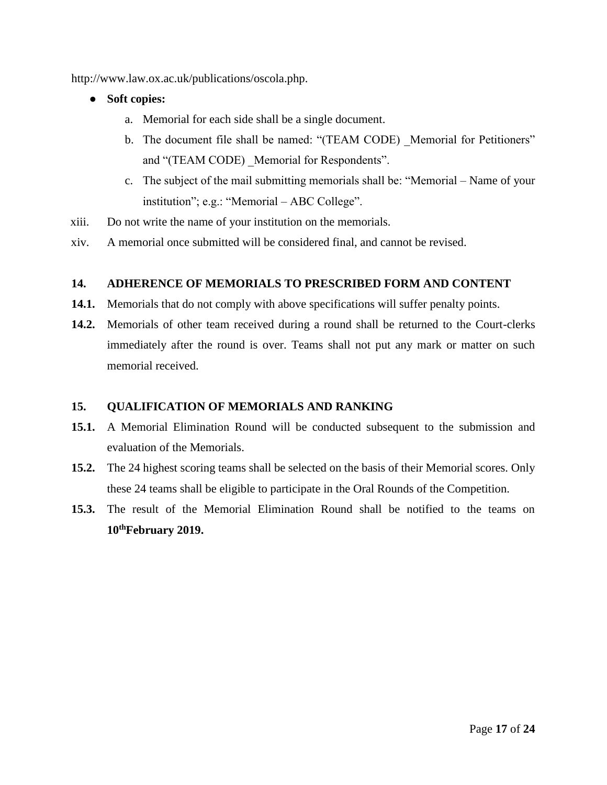http://www.law.ox.ac.uk/publications/oscola.php.

- **Soft copies:** 
	- a. Memorial for each side shall be a single document.
	- b. The document file shall be named: "(TEAM CODE) Memorial for Petitioners" and "(TEAM CODE) Memorial for Respondents".
	- c. The subject of the mail submitting memorials shall be: "Memorial Name of your institution"; e.g.: "Memorial – ABC College".
- xiii. Do not write the name of your institution on the memorials.
- xiv. A memorial once submitted will be considered final, and cannot be revised.

#### **14. ADHERENCE OF MEMORIALS TO PRESCRIBED FORM AND CONTENT**

- **14.1.** Memorials that do not comply with above specifications will suffer penalty points.
- **14.2.** Memorials of other team received during a round shall be returned to the Court-clerks immediately after the round is over. Teams shall not put any mark or matter on such memorial received.

#### **15. QUALIFICATION OF MEMORIALS AND RANKING**

- **15.1.** A Memorial Elimination Round will be conducted subsequent to the submission and evaluation of the Memorials.
- **15.2.** The 24 highest scoring teams shall be selected on the basis of their Memorial scores. Only these 24 teams shall be eligible to participate in the Oral Rounds of the Competition.
- **15.3.** The result of the Memorial Elimination Round shall be notified to the teams on **10thFebruary 2019.**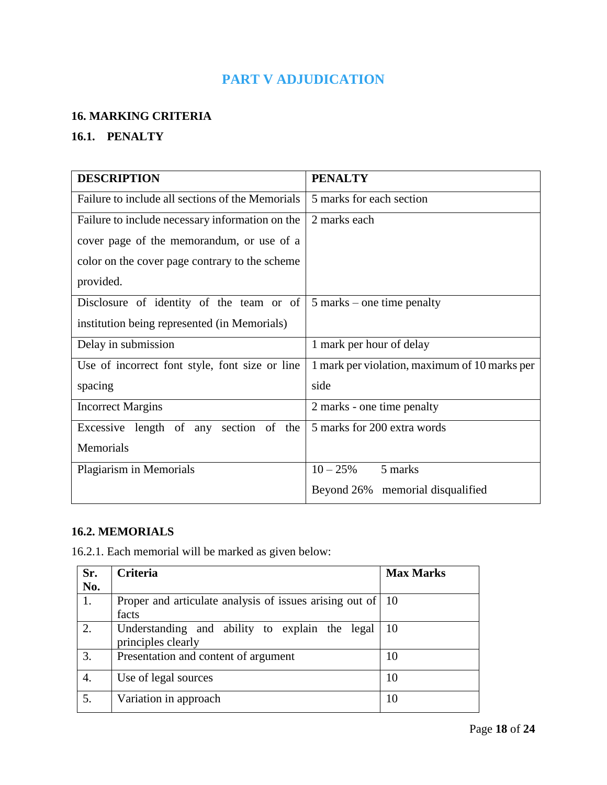# **PART V ADJUDICATION**

#### <span id="page-17-0"></span>**16. MARKING CRITERIA**

# **16.1. PENALTY**

| <b>DESCRIPTION</b>                               | <b>PENALTY</b>                                |
|--------------------------------------------------|-----------------------------------------------|
| Failure to include all sections of the Memorials | 5 marks for each section                      |
| Failure to include necessary information on the  | 2 marks each                                  |
| cover page of the memorandum, or use of a        |                                               |
| color on the cover page contrary to the scheme   |                                               |
| provided.                                        |                                               |
| Disclosure of identity of the team or of         | $5$ marks – one time penalty                  |
| institution being represented (in Memorials)     |                                               |
| Delay in submission                              | 1 mark per hour of delay                      |
| Use of incorrect font style, font size or line   | 1 mark per violation, maximum of 10 marks per |
| spacing                                          | side                                          |
| <b>Incorrect Margins</b>                         | 2 marks - one time penalty                    |
| Excessive length of any section of the           | 5 marks for 200 extra words                   |
| Memorials                                        |                                               |
| Plagiarism in Memorials                          | $10 - 25%$<br>5 marks                         |
|                                                  | Beyond 26% memorial disqualified              |

## **16.2. MEMORIALS**

16.2.1. Each memorial will be marked as given below:

| Sr. | <b>Criteria</b>                                                       | <b>Max Marks</b> |
|-----|-----------------------------------------------------------------------|------------------|
| No. |                                                                       |                  |
| 1.  | Proper and articulate analysis of issues arising out of   10<br>facts |                  |
| 2.  | Understanding and ability to explain the legal<br>principles clearly  | 10               |
| 3.  | Presentation and content of argument                                  | 10               |
| 4.  | Use of legal sources                                                  | 10               |
| 5.  | Variation in approach                                                 | 10               |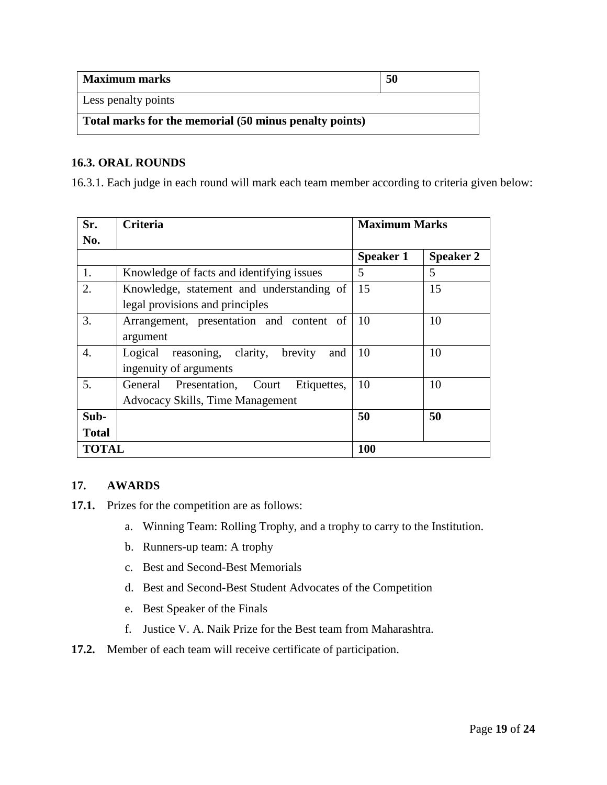| <b>Maximum marks</b>                                   | 50 |  |
|--------------------------------------------------------|----|--|
| <b>Less penalty points</b>                             |    |  |
| Total marks for the memorial (50 minus penalty points) |    |  |

#### **16.3. ORAL ROUNDS**

16.3.1. Each judge in each round will mark each team member according to criteria given below:

| Sr.          | <b>Criteria</b>                               | <b>Maximum Marks</b> |                  |
|--------------|-----------------------------------------------|----------------------|------------------|
| No.          |                                               |                      |                  |
|              |                                               | <b>Speaker 1</b>     | <b>Speaker 2</b> |
| 1.           | Knowledge of facts and identifying issues     | 5                    | 5                |
| 2.           | Knowledge, statement and understanding of     | 15                   | 15               |
|              | legal provisions and principles               |                      |                  |
| 3.           | Arrangement, presentation and content of      | 10                   | 10               |
|              | argument                                      |                      |                  |
| 4.           | reasoning, clarity, brevity<br>Logical<br>and | 10                   | 10               |
|              | ingenuity of arguments                        |                      |                  |
| 5.           | General Presentation, Court<br>Etiquettes,    | 10                   | 10               |
|              | Advocacy Skills, Time Management              |                      |                  |
| Sub-         |                                               | 50                   | 50               |
| <b>Total</b> |                                               |                      |                  |
| <b>TOTAL</b> |                                               | 100                  |                  |

#### **17. AWARDS**

**17.1.** Prizes for the competition are as follows:

- a. Winning Team: Rolling Trophy, and a trophy to carry to the Institution.
- b. Runners-up team: A trophy
- c. Best and Second-Best Memorials
- d. Best and Second-Best Student Advocates of the Competition
- e. Best Speaker of the Finals
- f. Justice V. A. Naik Prize for the Best team from Maharashtra.
- **17.2.** Member of each team will receive certificate of participation.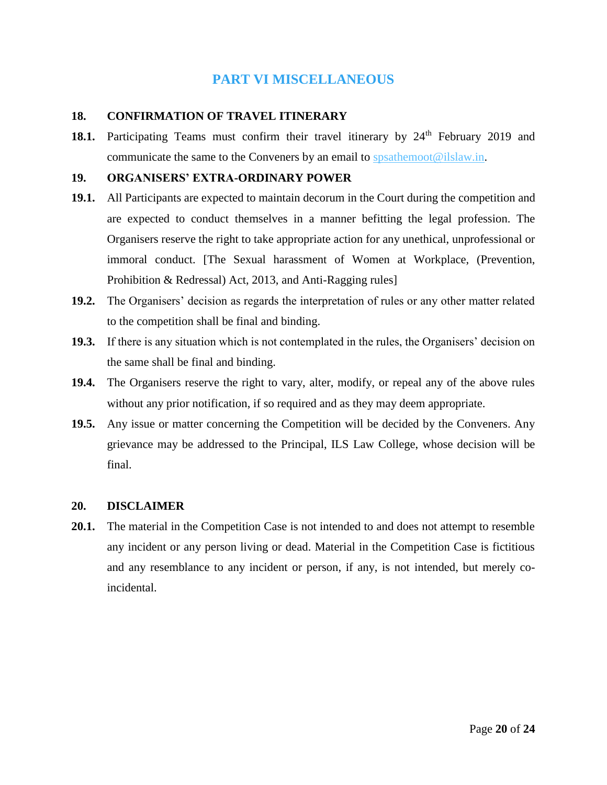## **PART VI MISCELLANEOUS**

#### <span id="page-19-0"></span>**18. CONFIRMATION OF TRAVEL ITINERARY**

18.1. Participating Teams must confirm their travel itinerary by 24<sup>th</sup> February 2019 and communicate the same to the Conveners by an email to  $\frac{\text{sp} \cdot \text{sg} \cdot \text{sg} \cdot \text{sg} \cdot \text{sg} \cdot \text{sg} \cdot \text{sg} \cdot \text{sg} \cdot \text{sg} \cdot \text{sg} \cdot \text{sg} \cdot \text{sg} \cdot \text{sg} \cdot \text{sg} \cdot \text{sg} \cdot \text{sg} \cdot \text{sg} \cdot \text{sg} \cdot \text{sg} \cdot \text{sg} \cdot \text{sg} \cdot \text{sg} \cdot \text{sg} \cdot \text{sg$ 

#### **19. ORGANISERS' EXTRA-ORDINARY POWER**

- **19.1.** All Participants are expected to maintain decorum in the Court during the competition and are expected to conduct themselves in a manner befitting the legal profession. The Organisers reserve the right to take appropriate action for any unethical, unprofessional or immoral conduct. [The Sexual harassment of Women at Workplace, (Prevention, Prohibition & Redressal) Act, 2013, and Anti-Ragging rules]
- **19.2.** The Organisers' decision as regards the interpretation of rules or any other matter related to the competition shall be final and binding.
- **19.3.** If there is any situation which is not contemplated in the rules, the Organisers' decision on the same shall be final and binding.
- **19.4.** The Organisers reserve the right to vary, alter, modify, or repeal any of the above rules without any prior notification, if so required and as they may deem appropriate.
- **19.5.** Any issue or matter concerning the Competition will be decided by the Conveners. Any grievance may be addressed to the Principal, ILS Law College, whose decision will be final.

#### **20. DISCLAIMER**

**20.1.** The material in the Competition Case is not intended to and does not attempt to resemble any incident or any person living or dead. Material in the Competition Case is fictitious and any resemblance to any incident or person, if any, is not intended, but merely coincidental.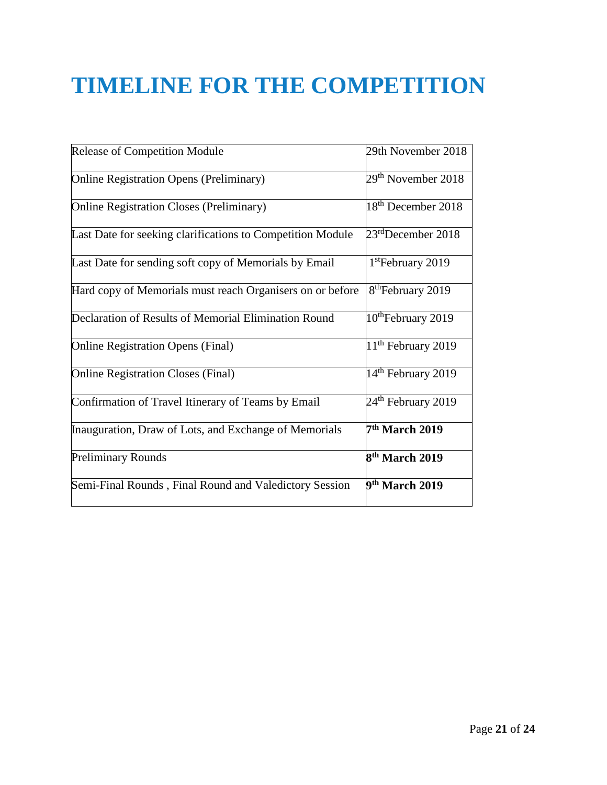# <span id="page-20-0"></span>**TIMELINE FOR THE COMPETITION**

| Release of Competition Module                              | 29th November 2018             |
|------------------------------------------------------------|--------------------------------|
| <b>Online Registration Opens (Preliminary)</b>             | 29 <sup>th</sup> November 2018 |
| <b>Online Registration Closes (Preliminary)</b>            | 18 <sup>th</sup> December 2018 |
| Last Date for seeking clarifications to Competition Module | $23rd$ December 2018           |
| Last Date for sending soft copy of Memorials by Email      | 1 <sup>st</sup> February 2019  |
| Hard copy of Memorials must reach Organisers on or before  | 8 <sup>th</sup> February 2019  |
| Declaration of Results of Memorial Elimination Round       | 10 <sup>th</sup> February 2019 |
| <b>Online Registration Opens (Final)</b>                   | 11 <sup>th</sup> February 2019 |
| <b>Online Registration Closes (Final)</b>                  | 14 <sup>th</sup> February 2019 |
| Confirmation of Travel Itinerary of Teams by Email         | $24th$ February 2019           |
| Inauguration, Draw of Lots, and Exchange of Memorials      | 7 <sup>th</sup> March 2019     |
| Preliminary Rounds                                         | 8 <sup>th</sup> March 2019     |
| Semi-Final Rounds, Final Round and Valedictory Session     | 9 <sup>th</sup> March 2019     |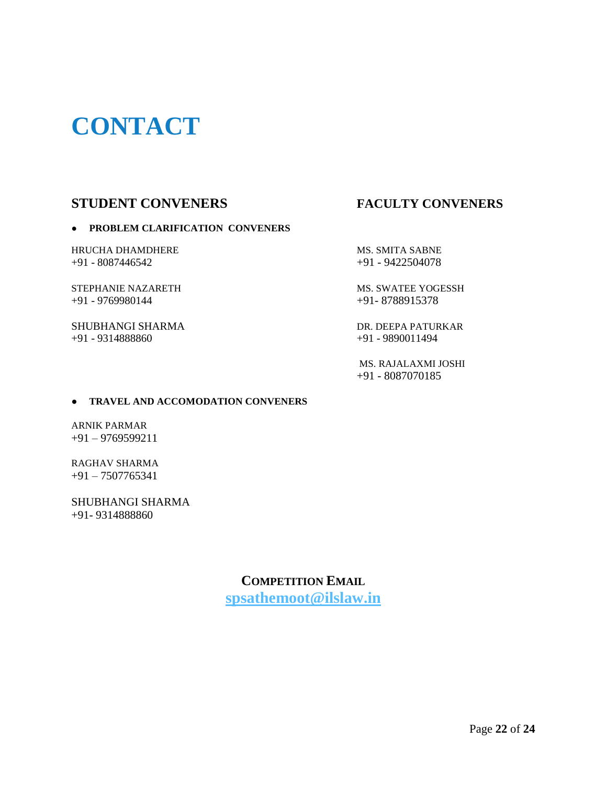# <span id="page-21-0"></span>**CONTACT**

# **STUDENT CONVENERS FACULTY CONVENERS**

#### ● **PROBLEM CLARIFICATION CONVENERS**

HRUCHA DHAMDHERE MS. SMITA SABNE +91 - 8087446542 +91 - 9422504078

+91 - 9769980144 +91- 8788915378

SHUBHANGI SHARMA DR. DEEPA PATURKAR +91 - 9314888860 +91 - 9890011494

STEPHANIE NAZARETH MS. SWATEE YOGESSH

 MS. RAJALAXMI JOSHI +91 - 8087070185

#### ● **TRAVEL AND ACCOMODATION CONVENERS**

ARNIK PARMAR +91 – 9769599211

RAGHAV SHARMA +91 – 7507765341

SHUBHANGI SHARMA +91- 9314888860

> **COMPETITION EMAIL [spsathemoot@ilslaw.in](mailto:spsathemoot@ilslaw.in)**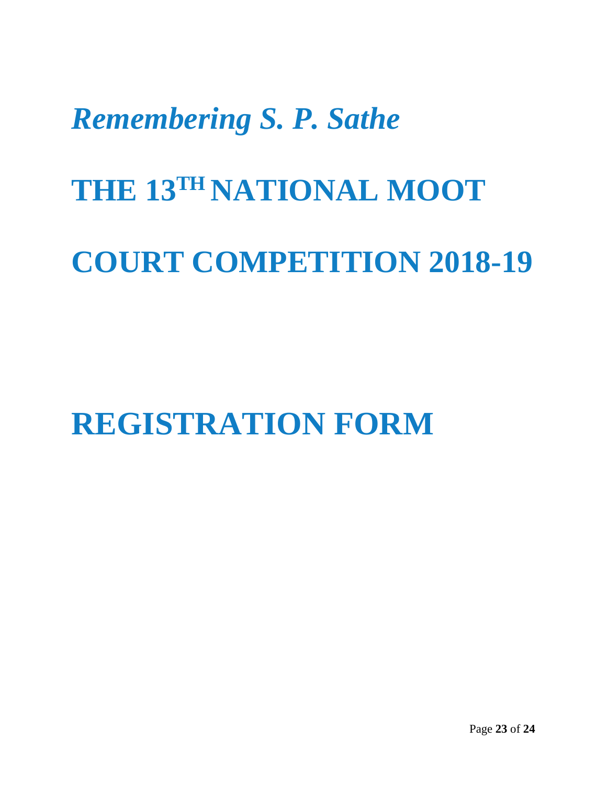# *Remembering S. P. Sathe*

# **THE 13TH NATIONAL MOOT**

# **COURT COMPETITION 2018-19**

<span id="page-22-0"></span>**REGISTRATION FORM**